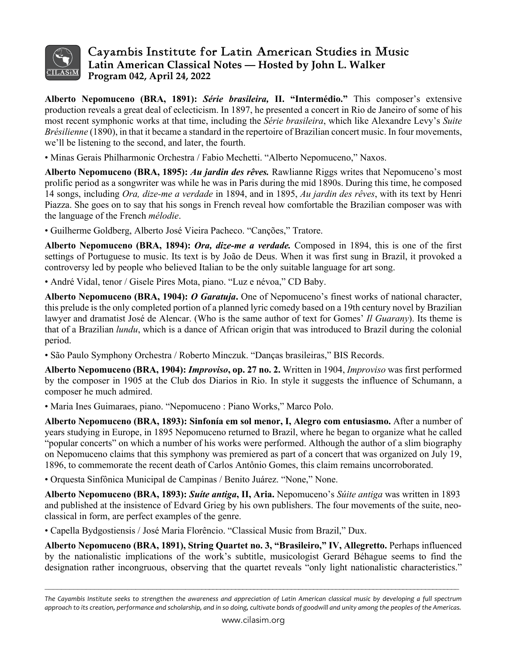

## Cayambis Institute for Latin American Studies in Music **Latin American Classical Notes — Hosted by John L. Walker Program 042, April 24, 2022**

**Alberto Nepomuceno (BRA, 1891):** *Série brasileira,* **II. "Intermédio."** This composer's extensive production reveals a great deal of eclecticism. In 1897, he presented a concert in Rio de Janeiro of some of his most recent symphonic works at that time, including the *Série brasileira*, which like Alexandre Levy's *Suite Brésilienne* (1890), in that it became a standard in the repertoire of Brazilian concert music. In four movements, we'll be listening to the second, and later, the fourth.

• Minas Gerais Philharmonic Orchestra / Fabio Mechetti. "Alberto Nepomuceno," Naxos.

**Alberto Nepomuceno (BRA, 1895):** *Au jardin des rêves.* Rawlianne Riggs writes that Nepomuceno's most prolific period as a songwriter was while he was in Paris during the mid 1890s. During this time, he composed 14 songs, including *Ora, dize-me a verdade* in 1894, and in 1895, *Au jardin des rêves*, with its text by Henri Piazza. She goes on to say that his songs in French reveal how comfortable the Brazilian composer was with the language of the French *mélodie*.

• Guilherme Goldberg, Alberto José Vieira Pacheco. "Canções," Tratore.

**Alberto Nepomuceno (BRA, 1894):** *Ora, dize-me a verdade.* Composed in 1894, this is one of the first settings of Portuguese to music. Its text is by João de Deus. When it was first sung in Brazil, it provoked a controversy led by people who believed Italian to be the only suitable language for art song.

• André Vidal, tenor / Gisele Pires Mota, piano. "Luz e névoa," CD Baby.

**Alberto Nepomuceno (BRA, 1904):** *O Garatuja***.** One of Nepomuceno's finest works of national character, this prelude is the only completed portion of a planned lyric comedy based on a 19th century novel by Brazilian lawyer and dramatist José de Alencar. (Who is the same author of text for Gomes' *Il Guarany*). Its theme is that of a Brazilian *lundu*, which is a dance of African origin that was introduced to Brazil during the colonial period.

• São Paulo Symphony Orchestra / Roberto Minczuk. "Danças brasileiras," BIS Records.

**Alberto Nepomuceno (BRA, 1904):** *Improviso***, op. 27 no. 2.** Written in 1904, *Improviso* was first performed by the composer in 1905 at the Club dos Diarios in Rio. In style it suggests the influence of Schumann, a composer he much admired.

• Maria Ines Guimaraes, piano. "Nepomuceno : Piano Works," Marco Polo.

**Alberto Nepomuceno (BRA, 1893): Sinfonía em sol menor, I, Alegro com entusiasmo.** After a number of years studying in Europe, in 1895 Nepomuceno returned to Brazil, where he began to organize what he called "popular concerts" on which a number of his works were performed. Although the author of a slim biography on Nepomuceno claims that this symphony was premiered as part of a concert that was organized on July 19, 1896, to commemorate the recent death of Carlos Antônio Gomes, this claim remains uncorroborated.

• Orquesta Sinfônica Municipal de Campinas / Benito Juárez. "None," None.

**Alberto Nepomuceno (BRA, 1893):** *Suíte antiga***, II, Aria.** Nepomuceno's *Súite antiga* was written in 1893 and published at the insistence of Edvard Grieg by his own publishers. The four movements of the suite, neoclassical in form, are perfect examples of the genre.

• Capella Bydgostiensis / José Maria Florêncio. "Classical Music from Brazil," Dux.

**Alberto Nepomuceno (BRA, 1891), String Quartet no. 3, "Brasileiro," IV, Allegretto.** Perhaps influenced by the nationalistic implications of the work's subtitle, musicologist Gerard Béhague seems to find the designation rather incongruous, observing that the quartet reveals "only light nationalistic characteristics."

 $\mathcal{L}_\mathcal{L} = \mathcal{L}_\mathcal{L} = \mathcal{L}_\mathcal{L} = \mathcal{L}_\mathcal{L} = \mathcal{L}_\mathcal{L} = \mathcal{L}_\mathcal{L} = \mathcal{L}_\mathcal{L} = \mathcal{L}_\mathcal{L} = \mathcal{L}_\mathcal{L} = \mathcal{L}_\mathcal{L} = \mathcal{L}_\mathcal{L} = \mathcal{L}_\mathcal{L} = \mathcal{L}_\mathcal{L} = \mathcal{L}_\mathcal{L} = \mathcal{L}_\mathcal{L} = \mathcal{L}_\mathcal{L} = \mathcal{L}_\mathcal{L}$ 

*The Cayambis Institute seeks to strengthen the awareness and appreciation of Latin American classical music by developing a full spectrum approach to its creation, performance and scholarship, and in so doing, cultivate bonds of goodwill and unity among the peoples of the Americas.*